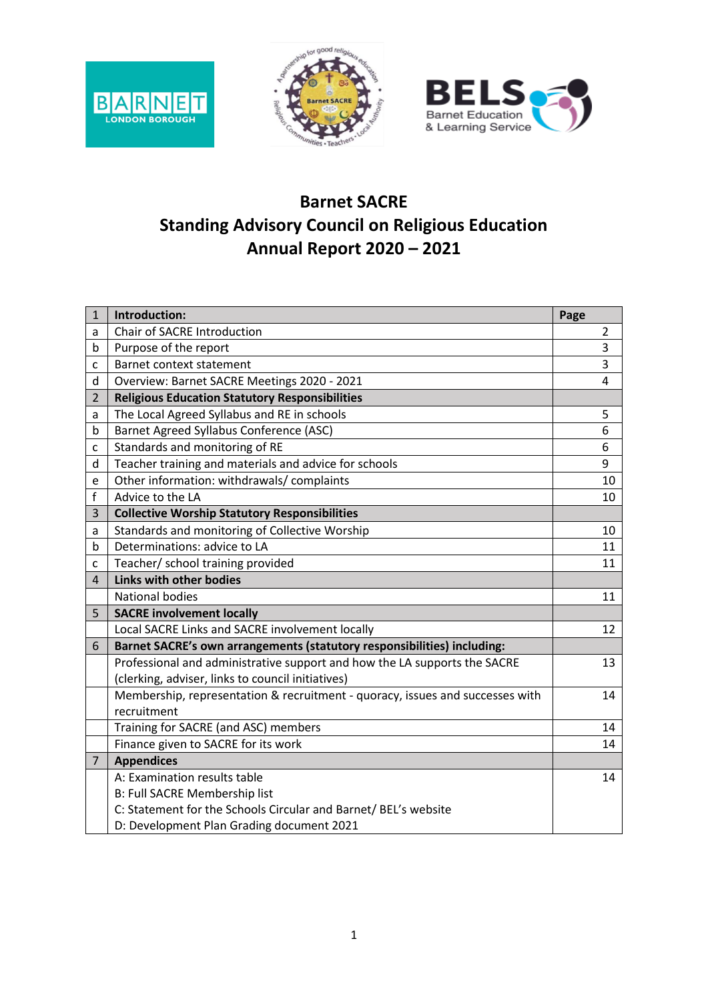





# **Barnet SACRE Standing Advisory Council on Religious Education Annual Report 2020 – 2021**

| $\mathbf{1}$   | Introduction:                                                                 | Page           |
|----------------|-------------------------------------------------------------------------------|----------------|
| a              | Chair of SACRE Introduction                                                   | $\overline{2}$ |
| b              | Purpose of the report                                                         | 3              |
| C              | Barnet context statement                                                      | 3              |
| d              | Overview: Barnet SACRE Meetings 2020 - 2021                                   | 4              |
| $\overline{2}$ | <b>Religious Education Statutory Responsibilities</b>                         |                |
| a              | The Local Agreed Syllabus and RE in schools                                   | 5              |
| b              | Barnet Agreed Syllabus Conference (ASC)                                       | 6              |
| C              | Standards and monitoring of RE                                                | 6              |
| d              | Teacher training and materials and advice for schools                         | 9              |
| е              | Other information: withdrawals/complaints                                     | 10             |
| $\mathsf{f}$   | Advice to the LA                                                              | 10             |
| 3              | <b>Collective Worship Statutory Responsibilities</b>                          |                |
| а              | Standards and monitoring of Collective Worship                                | 10             |
| b              | Determinations: advice to LA                                                  | 11             |
| c              | Teacher/ school training provided                                             | 11             |
| $\overline{4}$ | <b>Links with other bodies</b>                                                |                |
|                | <b>National bodies</b>                                                        | 11             |
| 5              | <b>SACRE involvement locally</b>                                              |                |
|                | Local SACRE Links and SACRE involvement locally                               | 12             |
| 6              | Barnet SACRE's own arrangements (statutory responsibilities) including:       |                |
|                | Professional and administrative support and how the LA supports the SACRE     | 13             |
|                | (clerking, adviser, links to council initiatives)                             |                |
|                | Membership, representation & recruitment - quoracy, issues and successes with | 14             |
|                | recruitment                                                                   |                |
|                | Training for SACRE (and ASC) members                                          | 14             |
|                | Finance given to SACRE for its work                                           | 14             |
| $\overline{7}$ | <b>Appendices</b>                                                             |                |
|                | A: Examination results table                                                  | 14             |
|                | <b>B: Full SACRE Membership list</b>                                          |                |
|                | C: Statement for the Schools Circular and Barnet/ BEL's website               |                |
|                | D: Development Plan Grading document 2021                                     |                |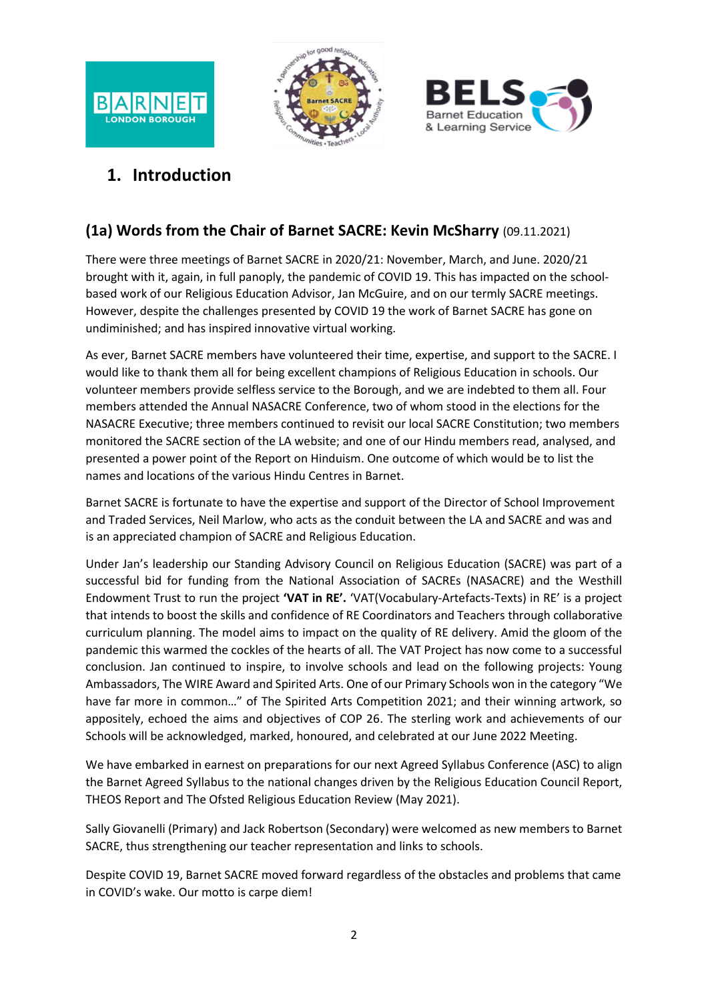





# **1. Introduction**

## **(1a) Words from the Chair of Barnet SACRE: Kevin McSharry** (09.11.2021)

There were three meetings of Barnet SACRE in 2020/21: November, March, and June. 2020/21 brought with it, again, in full panoply, the pandemic of COVID 19. This has impacted on the schoolbased work of our Religious Education Advisor, Jan McGuire, and on our termly SACRE meetings. However, despite the challenges presented by COVID 19 the work of Barnet SACRE has gone on undiminished; and has inspired innovative virtual working.

As ever, Barnet SACRE members have volunteered their time, expertise, and support to the SACRE. I would like to thank them all for being excellent champions of Religious Education in schools. Our volunteer members provide selfless service to the Borough, and we are indebted to them all. Four members attended the Annual NASACRE Conference, two of whom stood in the elections for the NASACRE Executive; three members continued to revisit our local SACRE Constitution; two members monitored the SACRE section of the LA website; and one of our Hindu members read, analysed, and presented a power point of the Report on Hinduism. One outcome of which would be to list the names and locations of the various Hindu Centres in Barnet.

Barnet SACRE is fortunate to have the expertise and support of the Director of School Improvement and Traded Services, Neil Marlow, who acts as the conduit between the LA and SACRE and was and is an appreciated champion of SACRE and Religious Education.

Under Jan's leadership our Standing Advisory Council on Religious Education (SACRE) was part of a successful bid for funding from the National Association of SACREs (NASACRE) and the Westhill Endowment Trust to run the project **'VAT in RE'.** 'VAT(Vocabulary-Artefacts-Texts) in RE' is a project that intends to boost the skills and confidence of RE Coordinators and Teachers through collaborative curriculum planning. The model aims to impact on the quality of RE delivery. Amid the gloom of the pandemic this warmed the cockles of the hearts of all. The VAT Project has now come to a successful conclusion. Jan continued to inspire, to involve schools and lead on the following projects: Young Ambassadors, The WIRE Award and Spirited Arts. One of our Primary Schools won in the category "We have far more in common..." of The Spirited Arts Competition 2021; and their winning artwork, so appositely, echoed the aims and objectives of COP 26. The sterling work and achievements of our Schools will be acknowledged, marked, honoured, and celebrated at our June 2022 Meeting.

We have embarked in earnest on preparations for our next Agreed Syllabus Conference (ASC) to align the Barnet Agreed Syllabus to the national changes driven by the Religious Education Council Report, THEOS Report and The Ofsted Religious Education Review (May 2021).

Sally Giovanelli (Primary) and Jack Robertson (Secondary) were welcomed as new members to Barnet SACRE, thus strengthening our teacher representation and links to schools.

Despite COVID 19, Barnet SACRE moved forward regardless of the obstacles and problems that came in COVID's wake. Our motto is carpe diem!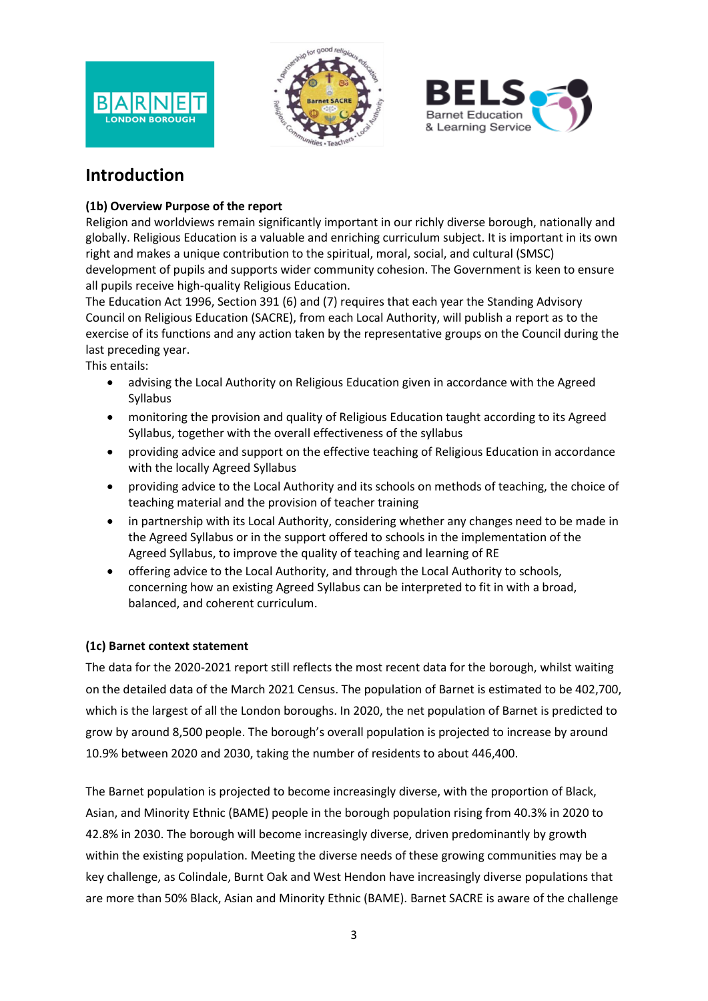





## **Introduction**

## **(1b) Overview Purpose of the report**

Religion and worldviews remain significantly important in our richly diverse borough, nationally and globally. Religious Education is a valuable and enriching curriculum subject. It is important in its own right and makes a unique contribution to the spiritual, moral, social, and cultural (SMSC) development of pupils and supports wider community cohesion. The Government is keen to ensure all pupils receive high-quality Religious Education.

The Education Act 1996, Section 391 (6) and (7) requires that each year the Standing Advisory Council on Religious Education (SACRE), from each Local Authority, will publish a report as to the exercise of its functions and any action taken by the representative groups on the Council during the last preceding year.

This entails:

- advising the Local Authority on Religious Education given in accordance with the Agreed Syllabus
- monitoring the provision and quality of Religious Education taught according to its Agreed Syllabus, together with the overall effectiveness of the syllabus
- providing advice and support on the effective teaching of Religious Education in accordance with the locally Agreed Syllabus
- providing advice to the Local Authority and its schools on methods of teaching, the choice of teaching material and the provision of teacher training
- in partnership with its Local Authority, considering whether any changes need to be made in the Agreed Syllabus or in the support offered to schools in the implementation of the Agreed Syllabus, to improve the quality of teaching and learning of RE
- offering advice to the Local Authority, and through the Local Authority to schools, concerning how an existing Agreed Syllabus can be interpreted to fit in with a broad, balanced, and coherent curriculum.

## **(1c) Barnet context statement**

The data for the 2020-2021 report still reflects the most recent data for the borough, whilst waiting on the detailed data of the March 2021 Census. The population of Barnet is estimated to be 402,700, which is the largest of all the London boroughs. In 2020, the net population of Barnet is predicted to grow by around 8,500 people. The borough's overall population is projected to increase by around 10.9% between 2020 and 2030, taking the number of residents to about 446,400.

The Barnet population is projected to become increasingly diverse, with the proportion of Black, Asian, and Minority Ethnic (BAME) people in the borough population rising from 40.3% in 2020 to 42.8% in 2030. The borough will become increasingly diverse, driven predominantly by growth within the existing population. Meeting the diverse needs of these growing communities may be a key challenge, as Colindale, Burnt Oak and West Hendon have increasingly diverse populations that are more than 50% Black, Asian and Minority Ethnic (BAME). Barnet SACRE is aware of the challenge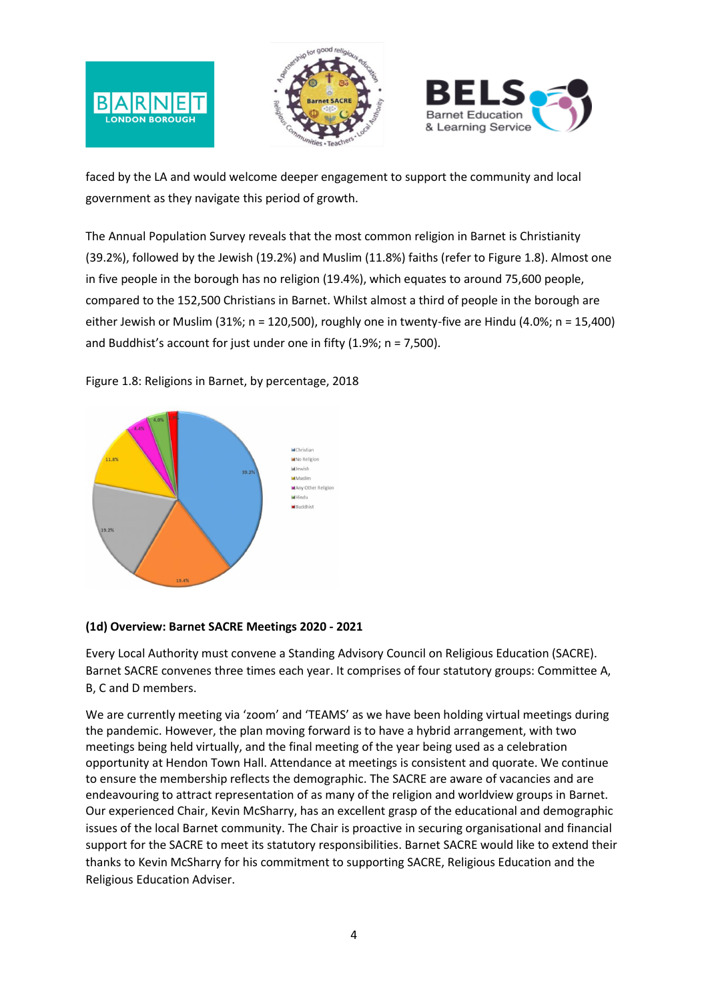



faced by the LA and would welcome deeper engagement to support the community and local government as they navigate this period of growth.

The Annual Population Survey reveals that the most common religion in Barnet is Christianity (39.2%), followed by the Jewish (19.2%) and Muslim (11.8%) faiths (refer to Figure 1.8). Almost one in five people in the borough has no religion (19.4%), which equates to around 75,600 people, compared to the 152,500 Christians in Barnet. Whilst almost a third of people in the borough are either Jewish or Muslim (31%; n = 120,500), roughly one in twenty-five are Hindu (4.0%; n = 15,400) and Buddhist's account for just under one in fifty (1.9%; n = 7,500).



Figure 1.8: Religions in Barnet, by percentage, 2018

I

## **(1d) Overview: Barnet SACRE Meetings 2020 - 2021**

Every Local Authority must convene a Standing Advisory Council on Religious Education (SACRE). Barnet SACRE convenes three times each year. It comprises of four statutory groups: Committee A, B, C and D members.

We are currently meeting via 'zoom' and 'TEAMS' as we have been holding virtual meetings during the pandemic. However, the plan moving forward is to have a hybrid arrangement, with two meetings being held virtually, and the final meeting of the year being used as a celebration opportunity at Hendon Town Hall. Attendance at meetings is consistent and quorate. We continue to ensure the membership reflects the demographic. The SACRE are aware of vacancies and are endeavouring to attract representation of as many of the religion and worldview groups in Barnet. Our experienced Chair, Kevin McSharry, has an excellent grasp of the educational and demographic issues of the local Barnet community. The Chair is proactive in securing organisational and financial support for the SACRE to meet its statutory responsibilities. Barnet SACRE would like to extend their thanks to Kevin McSharry for his commitment to supporting SACRE, Religious Education and the Religious Education Adviser.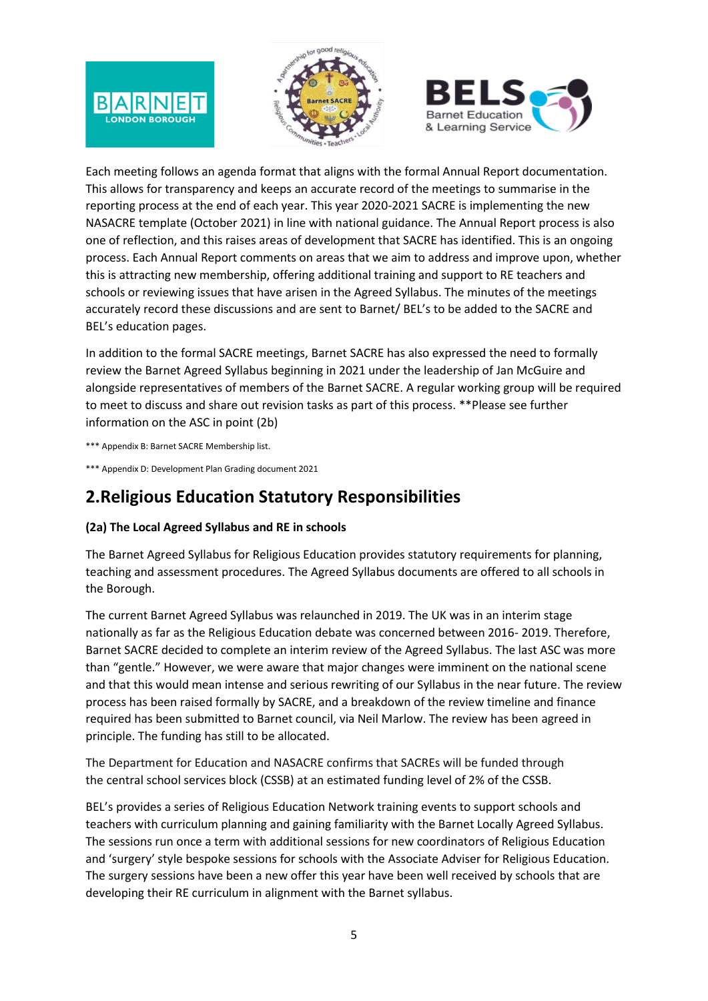



Each meeting follows an agenda format that aligns with the formal Annual Report documentation. This allows for transparency and keeps an accurate record of the meetings to summarise in the reporting process at the end of each year. This year 2020-2021 SACRE is implementing the new NASACRE template (October 2021) in line with national guidance. The Annual Report process is also one of reflection, and this raises areas of development that SACRE has identified. This is an ongoing process. Each Annual Report comments on areas that we aim to address and improve upon, whether this is attracting new membership, offering additional training and support to RE teachers and schools or reviewing issues that have arisen in the Agreed Syllabus. The minutes of the meetings accurately record these discussions and are sent to Barnet/ BEL's to be added to the SACRE and BEL's education pages.

In addition to the formal SACRE meetings, Barnet SACRE has also expressed the need to formally review the Barnet Agreed Syllabus beginning in 2021 under the leadership of Jan McGuire and alongside representatives of members of the Barnet SACRE. A regular working group will be required to meet to discuss and share out revision tasks as part of this process. \*\*Please see further information on the ASC in point (2b)

\*\*\* Appendix B: Barnet SACRE Membership list.

\*\*\* Appendix D: Development Plan Grading document 2021

## **2.Religious Education Statutory Responsibilities**

## **(2a) The Local Agreed Syllabus and RE in schools**

The Barnet Agreed Syllabus for Religious Education provides statutory requirements for planning, teaching and assessment procedures. The Agreed Syllabus documents are offered to all schools in the Borough.

The current Barnet Agreed Syllabus was relaunched in 2019. The UK was in an interim stage nationally as far as the Religious Education debate was concerned between 2016- 2019. Therefore, Barnet SACRE decided to complete an interim review of the Agreed Syllabus. The last ASC was more than "gentle." However, we were aware that major changes were imminent on the national scene and that this would mean intense and serious rewriting of our Syllabus in the near future. The review process has been raised formally by SACRE, and a breakdown of the review timeline and finance required has been submitted to Barnet council, via Neil Marlow. The review has been agreed in principle. The funding has still to be allocated.

The Department for Education and NASACRE confirms that SACREs will be funded through the central school services block (CSSB) at an estimated funding level of 2% of the CSSB.

BEL's provides a series of Religious Education Network training events to support schools and teachers with curriculum planning and gaining familiarity with the Barnet Locally Agreed Syllabus. The sessions run once a term with additional sessions for new coordinators of Religious Education and 'surgery' style bespoke sessions for schools with the Associate Adviser for Religious Education. The surgery sessions have been a new offer this year have been well received by schools that are developing their RE curriculum in alignment with the Barnet syllabus.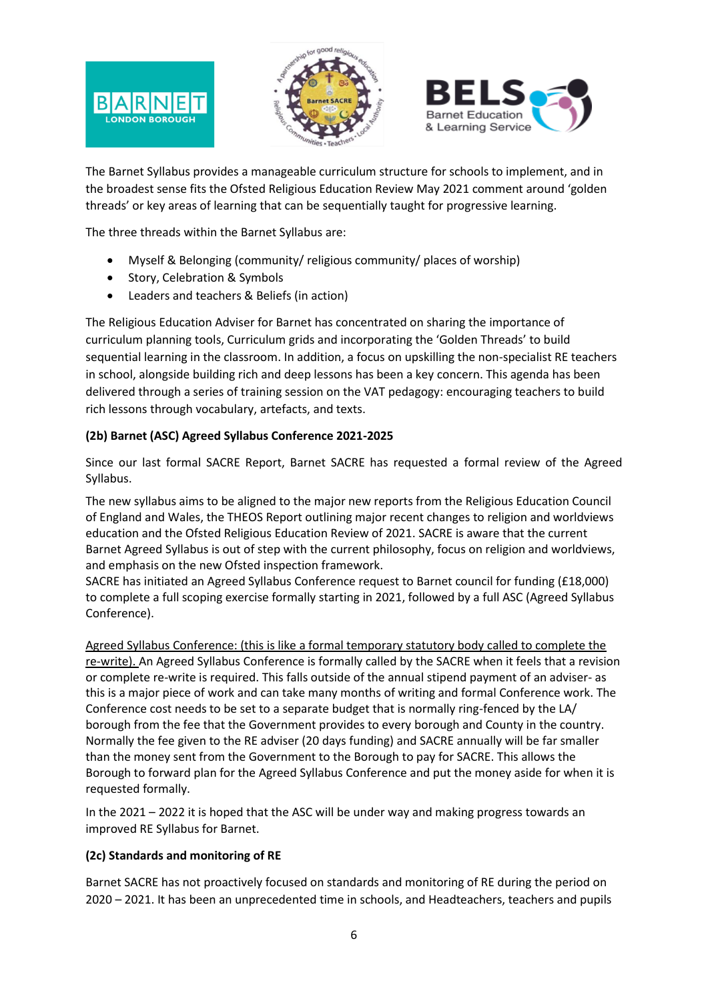





The Barnet Syllabus provides a manageable curriculum structure for schools to implement, and in the broadest sense fits the Ofsted Religious Education Review May 2021 comment around 'golden threads' or key areas of learning that can be sequentially taught for progressive learning.

The three threads within the Barnet Syllabus are:

- Myself & Belonging (community/ religious community/ places of worship)
- Story, Celebration & Symbols
- Leaders and teachers & Beliefs (in action)

The Religious Education Adviser for Barnet has concentrated on sharing the importance of curriculum planning tools, Curriculum grids and incorporating the 'Golden Threads' to build sequential learning in the classroom. In addition, a focus on upskilling the non-specialist RE teachers in school, alongside building rich and deep lessons has been a key concern. This agenda has been delivered through a series of training session on the VAT pedagogy: encouraging teachers to build rich lessons through vocabulary, artefacts, and texts.

## **(2b) Barnet (ASC) Agreed Syllabus Conference 2021-2025**

Since our last formal SACRE Report, Barnet SACRE has requested a formal review of the Agreed Syllabus.

The new syllabus aims to be aligned to the major new reports from the Religious Education Council of England and Wales, the THEOS Report outlining major recent changes to religion and worldviews education and the Ofsted Religious Education Review of 2021. SACRE is aware that the current Barnet Agreed Syllabus is out of step with the current philosophy, focus on religion and worldviews, and emphasis on the new Ofsted inspection framework.

SACRE has initiated an Agreed Syllabus Conference request to Barnet council for funding (£18,000) to complete a full scoping exercise formally starting in 2021, followed by a full ASC (Agreed Syllabus Conference).

Agreed Syllabus Conference: (this is like a formal temporary statutory body called to complete the re-write). An Agreed Syllabus Conference is formally called by the SACRE when it feels that a revision or complete re-write is required. This falls outside of the annual stipend payment of an adviser- as this is a major piece of work and can take many months of writing and formal Conference work. The Conference cost needs to be set to a separate budget that is normally ring-fenced by the LA/ borough from the fee that the Government provides to every borough and County in the country. Normally the fee given to the RE adviser (20 days funding) and SACRE annually will be far smaller than the money sent from the Government to the Borough to pay for SACRE. This allows the Borough to forward plan for the Agreed Syllabus Conference and put the money aside for when it is requested formally.

In the 2021 – 2022 it is hoped that the ASC will be under way and making progress towards an improved RE Syllabus for Barnet.

## **(2c) Standards and monitoring of RE**

Barnet SACRE has not proactively focused on standards and monitoring of RE during the period on 2020 – 2021. It has been an unprecedented time in schools, and Headteachers, teachers and pupils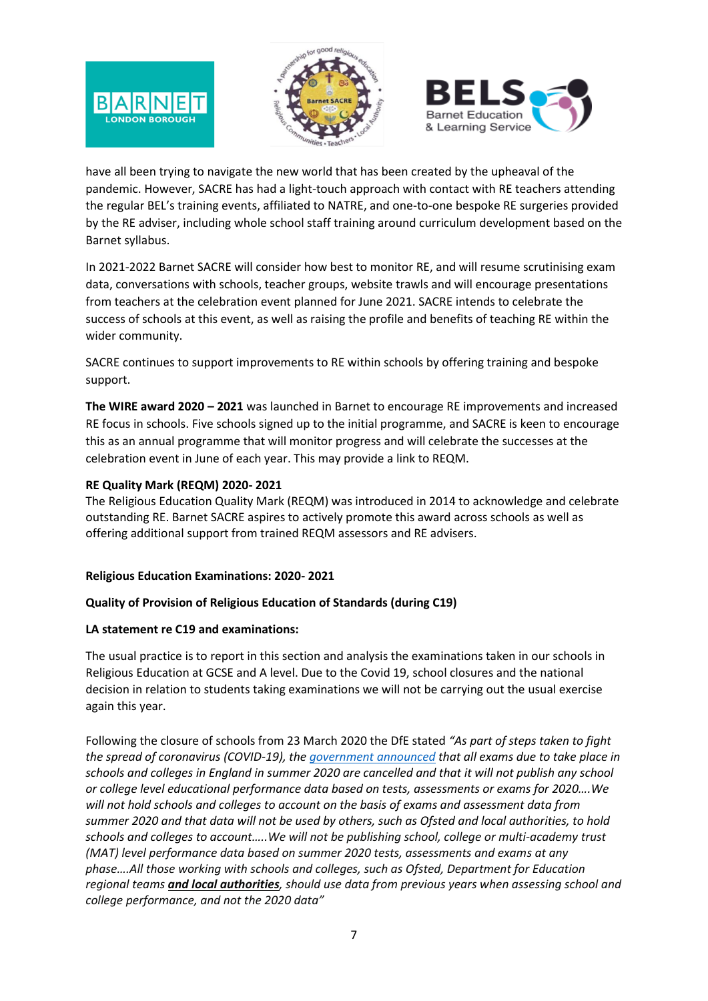





have all been trying to navigate the new world that has been created by the upheaval of the pandemic. However, SACRE has had a light-touch approach with contact with RE teachers attending the regular BEL's training events, affiliated to NATRE, and one-to-one bespoke RE surgeries provided by the RE adviser, including whole school staff training around curriculum development based on the Barnet syllabus.

In 2021-2022 Barnet SACRE will consider how best to monitor RE, and will resume scrutinising exam data, conversations with schools, teacher groups, website trawls and will encourage presentations from teachers at the celebration event planned for June 2021. SACRE intends to celebrate the success of schools at this event, as well as raising the profile and benefits of teaching RE within the wider community.

SACRE continues to support improvements to RE within schools by offering training and bespoke support.

**The WIRE award 2020 – 2021** was launched in Barnet to encourage RE improvements and increased RE focus in schools. Five schools signed up to the initial programme, and SACRE is keen to encourage this as an annual programme that will monitor progress and will celebrate the successes at the celebration event in June of each year. This may provide a link to REQM.

## **RE Quality Mark (REQM) 2020- 2021**

The Religious Education Quality Mark (REQM) was introduced in 2014 to acknowledge and celebrate outstanding RE. Barnet SACRE aspires to actively promote this award across schools as well as offering additional support from trained REQM assessors and RE advisers.

#### **Religious Education Examinations: 2020- 2021**

## **Quality of Provision of Religious Education of Standards (during C19)**

#### **LA statement re C19 and examinations:**

The usual practice is to report in this section and analysis the examinations taken in our schools in Religious Education at GCSE and A level. Due to the Covid 19, school closures and the national decision in relation to students taking examinations we will not be carrying out the usual exercise again this year.

Following the closure of schools from 23 March 2020 the DfE stated *"As part of steps taken to fight the spread of coronavirus (COVID-19), the [government](https://www.parliament.uk/business/publications/written-questions-answers-statements/written-statement/Commons/2020-03-23/HCWS176/) announced that all exams due to take place in schools and colleges in England in summer 2020 are cancelled and that it will not publish any school or college level educational performance data based on tests, assessments or exams for 2020….We will not hold schools and colleges to account on the basis of exams and assessment data from summer 2020 and that data will not be used by others, such as Ofsted and local authorities, to hold schools and colleges to account…..We will not be publishing school, college or multi-academy trust (MAT) level performance data based on summer 2020 tests, assessments and exams at any phase….All those working with schools and colleges, such as Ofsted, Department for Education regional teams and local authorities, should use data from previous years when assessing school and college performance, and not the 2020 data"*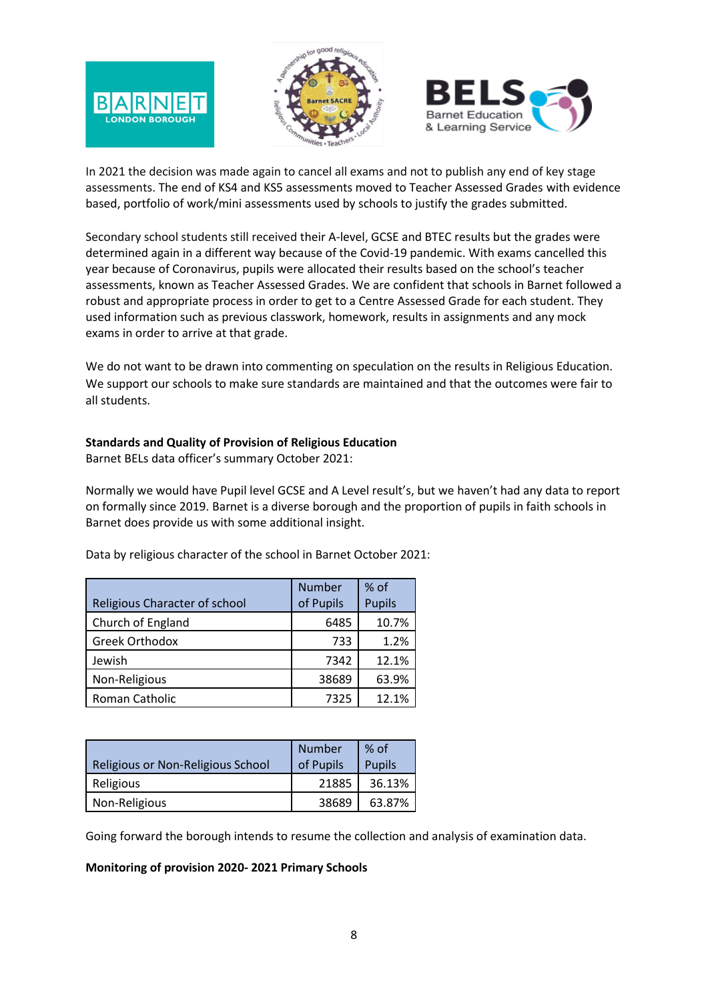





In 2021 the decision was made again to cancel all exams and not to publish any end of key stage assessments. The end of KS4 and KS5 assessments moved to Teacher Assessed Grades with evidence based, portfolio of work/mini assessments used by schools to justify the grades submitted.

Secondary school students still received their A-level, GCSE and BTEC results but the grades were determined again in a different way because of the Covid-19 pandemic. With exams cancelled this year because of Coronavirus, pupils were allocated their results based on the school's teacher assessments, known as Teacher Assessed Grades. We are confident that schools in Barnet followed a robust and appropriate process in order to get to a Centre Assessed Grade for each student. They used information such as previous classwork, homework, results in assignments and any mock exams in order to arrive at that grade.

We do not want to be drawn into commenting on speculation on the results in Religious Education. We support our schools to make sure standards are maintained and that the outcomes were fair to all students.

## **Standards and Quality of Provision of Religious Education**

Barnet BELs data officer's summary October 2021:

Normally we would have Pupil level GCSE and A Level result's, but we haven't had any data to report on formally since 2019. Barnet is a diverse borough and the proportion of pupils in faith schools in Barnet does provide us with some additional insight.

Data by religious character of the school in Barnet October 2021:

| Religious Character of school | <b>Number</b><br>of Pupils | % of<br><b>Pupils</b> |
|-------------------------------|----------------------------|-----------------------|
| Church of England             | 6485                       | 10.7%                 |
| <b>Greek Orthodox</b>         | 733                        | 1.2%                  |
| Jewish                        | 7342                       | 12.1%                 |
| Non-Religious                 | 38689                      | 63.9%                 |
| Roman Catholic                | 7325                       | 12.1%                 |

| Religious or Non-Religious School | Number<br>of Pupils | $%$ of<br><b>Pupils</b> |
|-----------------------------------|---------------------|-------------------------|
| Religious                         | 21885               | 36.13%                  |
| Non-Religious                     | 38689               | 63.87%                  |

Going forward the borough intends to resume the collection and analysis of examination data.

## **Monitoring of provision 2020- 2021 Primary Schools**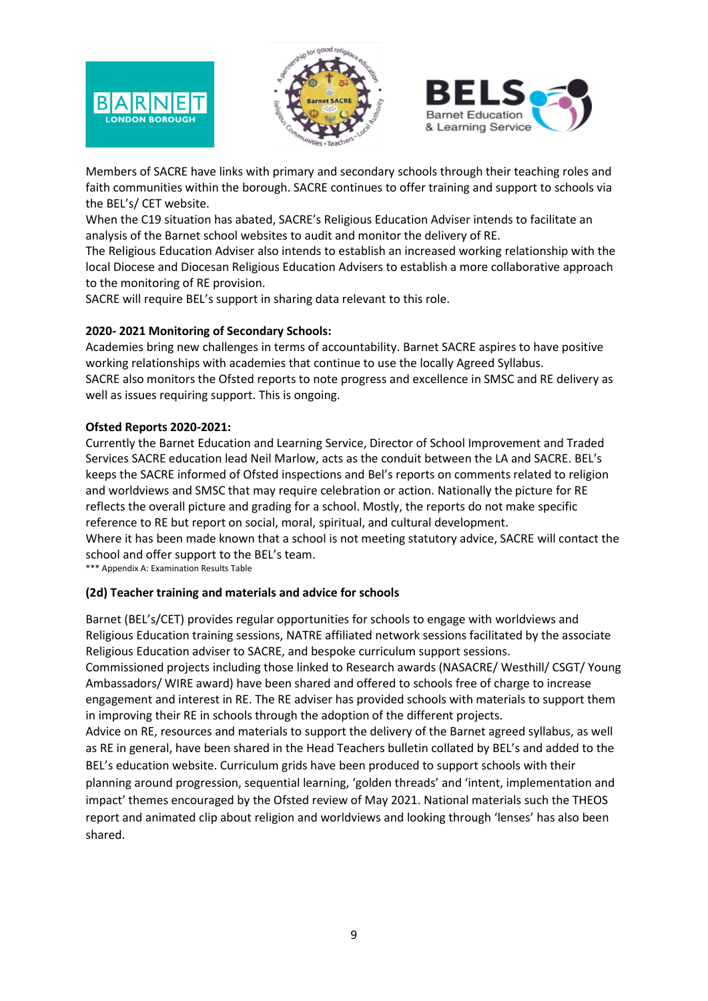





Members of SACRE have links with primary and secondary schools through their teaching roles and faith communities within the borough. SACRE continues to offer training and support to schools via the BEL's/ CET website.

When the C19 situation has abated, SACRE's Religious Education Adviser intends to facilitate an analysis of the Barnet school websites to audit and monitor the delivery of RE.

The Religious Education Adviser also intends to establish an increased working relationship with the local Diocese and Diocesan Religious Education Advisers to establish a more collaborative approach to the monitoring of RE provision.

SACRE will require BEL's support in sharing data relevant to this role.

## **2020- 2021 Monitoring of Secondary Schools:**

Academies bring new challenges in terms of accountability. Barnet SACRE aspires to have positive working relationships with academies that continue to use the locally Agreed Syllabus. SACRE also monitors the Ofsted reports to note progress and excellence in SMSC and RE delivery as well as issues requiring support. This is ongoing.

#### **Ofsted Reports 2020-2021:**

Currently the Barnet Education and Learning Service, Director of School Improvement and Traded Services SACRE education lead Neil Marlow, acts as the conduit between the LA and SACRE. BEL's keeps the SACRE informed of Ofsted inspections and Bel's reports on comments related to religion and worldviews and SMSC that may require celebration or action. Nationally the picture for RE reflects the overall picture and grading for a school. Mostly, the reports do not make specific reference to RE but report on social, moral, spiritual, and cultural development.

Where it has been made known that a school is not meeting statutory advice, SACRE will contact the school and offer support to the BEL's team.

\*\*\* Appendix A: Examination Results Table

## **(2d) Teacher training and materials and advice for schools**

Barnet (BEL's/CET) provides regular opportunities for schools to engage with worldviews and Religious Education training sessions, NATRE affiliated network sessions facilitated by the associate Religious Education adviser to SACRE, and bespoke curriculum support sessions.

Commissioned projects including those linked to Research awards (NASACRE/ Westhill/ CSGT/ Young Ambassadors/ WIRE award) have been shared and offered to schools free of charge to increase engagement and interest in RE. The RE adviser has provided schools with materials to support them in improving their RE in schools through the adoption of the different projects.

Advice on RE, resources and materials to support the delivery of the Barnet agreed syllabus, as well as RE in general, have been shared in the Head Teachers bulletin collated by BEL's and added to the BEL's education website. Curriculum grids have been produced to support schools with their planning around progression, sequential learning, 'golden threads' and 'intent, implementation and impact' themes encouraged by the Ofsted review of May 2021. National materials such the THEOS report and animated clip about religion and worldviews and looking through 'lenses' has also been shared.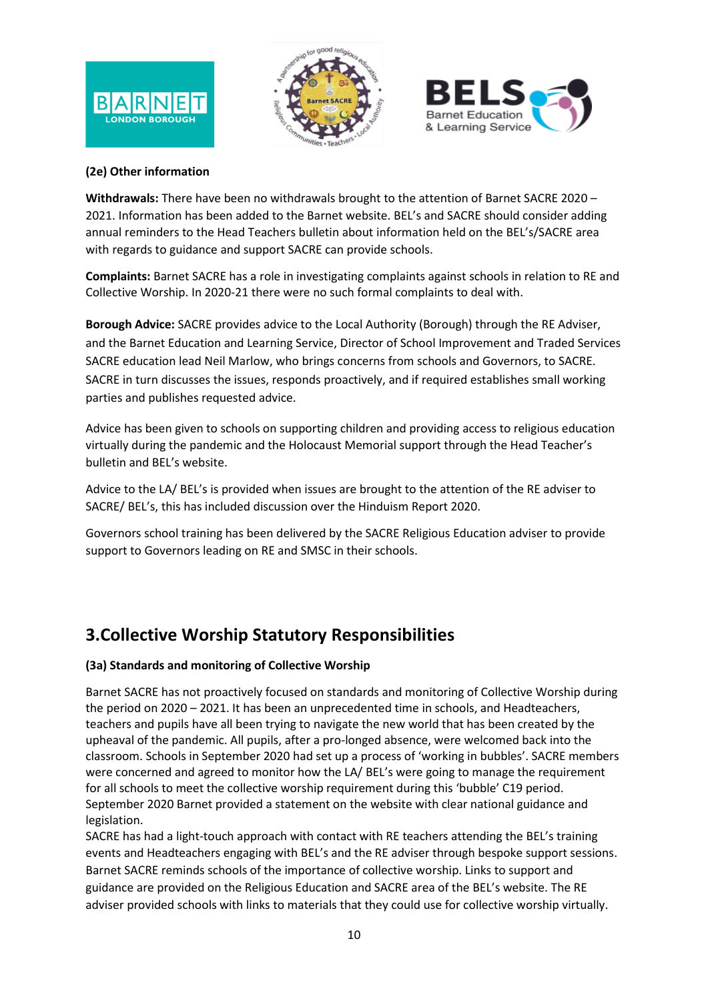





## **(2e) Other information**

**Withdrawals:** There have been no withdrawals brought to the attention of Barnet SACRE 2020 – 2021. Information has been added to the Barnet website. BEL's and SACRE should consider adding annual reminders to the Head Teachers bulletin about information held on the BEL's/SACRE area with regards to guidance and support SACRE can provide schools.

**Complaints:** Barnet SACRE has a role in investigating complaints against schools in relation to RE and Collective Worship. In 2020-21 there were no such formal complaints to deal with.

**Borough Advice:** SACRE provides advice to the Local Authority (Borough) through the RE Adviser, and the Barnet Education and Learning Service, Director of School Improvement and Traded Services SACRE education lead Neil Marlow, who brings concerns from schools and Governors, to SACRE. SACRE in turn discusses the issues, responds proactively, and if required establishes small working parties and publishes requested advice.

Advice has been given to schools on supporting children and providing access to religious education virtually during the pandemic and the Holocaust Memorial support through the Head Teacher's bulletin and BEL's website.

Advice to the LA/ BEL's is provided when issues are brought to the attention of the RE adviser to SACRE/ BEL's, this has included discussion over the Hinduism Report 2020.

Governors school training has been delivered by the SACRE Religious Education adviser to provide support to Governors leading on RE and SMSC in their schools.

## **3.Collective Worship Statutory Responsibilities**

## **(3a) Standards and monitoring of Collective Worship**

Barnet SACRE has not proactively focused on standards and monitoring of Collective Worship during the period on 2020 – 2021. It has been an unprecedented time in schools, and Headteachers, teachers and pupils have all been trying to navigate the new world that has been created by the upheaval of the pandemic. All pupils, after a pro-longed absence, were welcomed back into the classroom. Schools in September 2020 had set up a process of 'working in bubbles'. SACRE members were concerned and agreed to monitor how the LA/ BEL's were going to manage the requirement for all schools to meet the collective worship requirement during this 'bubble' C19 period. September 2020 Barnet provided a statement on the website with clear national guidance and legislation.

SACRE has had a light-touch approach with contact with RE teachers attending the BEL's training events and Headteachers engaging with BEL's and the RE adviser through bespoke support sessions. Barnet SACRE reminds schools of the importance of collective worship. Links to support and guidance are provided on the Religious Education and SACRE area of the BEL's website. The RE adviser provided schools with links to materials that they could use for collective worship virtually.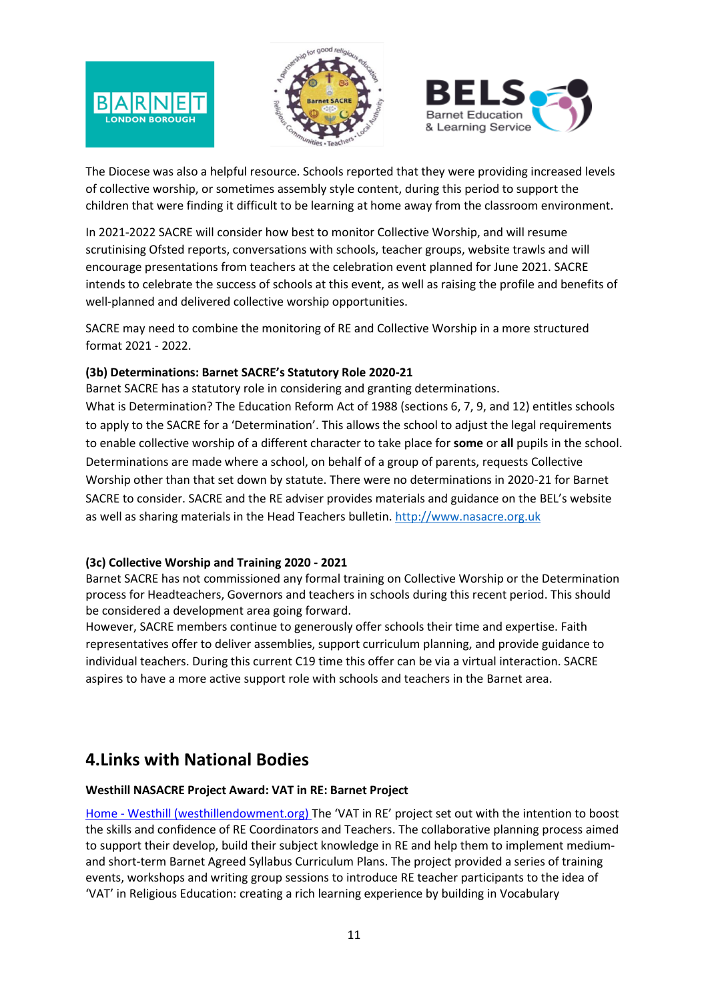





The Diocese was also a helpful resource. Schools reported that they were providing increased levels of collective worship, or sometimes assembly style content, during this period to support the children that were finding it difficult to be learning at home away from the classroom environment.

In 2021-2022 SACRE will consider how best to monitor Collective Worship, and will resume scrutinising Ofsted reports, conversations with schools, teacher groups, website trawls and will encourage presentations from teachers at the celebration event planned for June 2021. SACRE intends to celebrate the success of schools at this event, as well as raising the profile and benefits of well-planned and delivered collective worship opportunities.

SACRE may need to combine the monitoring of RE and Collective Worship in a more structured format 2021 - 2022.

## **(3b) Determinations: Barnet SACRE's Statutory Role 2020-21**

Barnet SACRE has a statutory role in considering and granting determinations.

What is Determination? The Education Reform Act of 1988 (sections 6, 7, 9, and 12) entitles schools to apply to the SACRE for a 'Determination'. This allows the school to adjust the legal requirements to enable collective worship of a different character to take place for **some** or **all** pupils in the school. Determinations are made where a school, on behalf of a group of parents, requests Collective Worship other than that set down by statute. There were no determinations in 2020-21 for Barnet SACRE to consider. SACRE and the RE adviser provides materials and guidance on the BEL's website as well as sharing materials in the Head Teachers bulletin. [http://www.nasacre.org.uk](http://www.nasacre.org.uk/) 

## **(3c) Collective Worship and Training 2020 - 2021**

Barnet SACRE has not commissioned any formal training on Collective Worship or the Determination process for Headteachers, Governors and teachers in schools during this recent period. This should be considered a development area going forward.

However, SACRE members continue to generously offer schools their time and expertise. Faith representatives offer to deliver assemblies, support curriculum planning, and provide guidance to individual teachers. During this current C19 time this offer can be via a virtual interaction. SACRE aspires to have a more active support role with schools and teachers in the Barnet area.

## **4.Links with National Bodies**

## **Westhill NASACRE Project Award: VAT in RE: Barnet Project**

Home - [Westhill \(westhillendowment.org\)](https://www.westhillendowment.org/barnet-sacre) The 'VAT in RE' project set out with the intention to boost the skills and confidence of RE Coordinators and Teachers. The collaborative planning process aimed to support their develop, build their subject knowledge in RE and help them to implement mediumand short-term Barnet Agreed Syllabus Curriculum Plans. The project provided a series of training events, workshops and writing group sessions to introduce RE teacher participants to the idea of 'VAT' in Religious Education: creating a rich learning experience by building in Vocabulary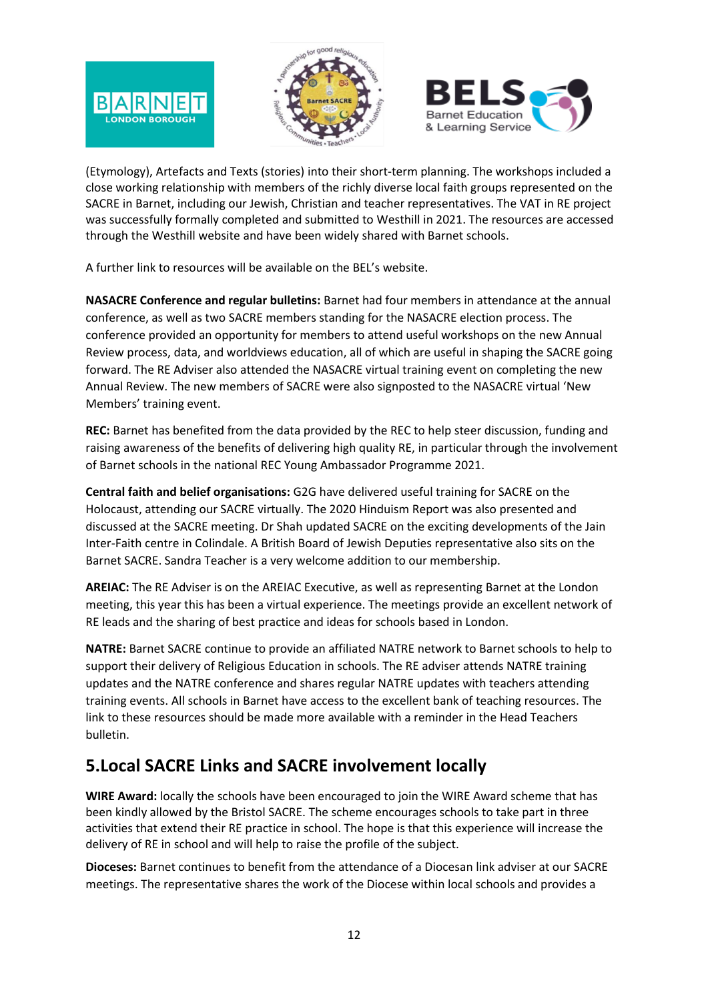





(Etymology), Artefacts and Texts (stories) into their short-term planning. The workshops included a close working relationship with members of the richly diverse local faith groups represented on the SACRE in Barnet, including our Jewish, Christian and teacher representatives. The VAT in RE project was successfully formally completed and submitted to Westhill in 2021. The resources are accessed through the Westhill website and have been widely shared with Barnet schools.

A further link to resources will be available on the BEL's website.

**NASACRE Conference and regular bulletins:** Barnet had four members in attendance at the annual conference, as well as two SACRE members standing for the NASACRE election process. The conference provided an opportunity for members to attend useful workshops on the new Annual Review process, data, and worldviews education, all of which are useful in shaping the SACRE going forward. The RE Adviser also attended the NASACRE virtual training event on completing the new Annual Review. The new members of SACRE were also signposted to the NASACRE virtual 'New Members' training event.

**REC:** Barnet has benefited from the data provided by the REC to help steer discussion, funding and raising awareness of the benefits of delivering high quality RE, in particular through the involvement of Barnet schools in the national REC Young Ambassador Programme 2021.

**Central faith and belief organisations:** G2G have delivered useful training for SACRE on the Holocaust, attending our SACRE virtually. The 2020 Hinduism Report was also presented and discussed at the SACRE meeting. Dr Shah updated SACRE on the exciting developments of the Jain Inter-Faith centre in Colindale. A British Board of Jewish Deputies representative also sits on the Barnet SACRE. Sandra Teacher is a very welcome addition to our membership.

**AREIAC:** The RE Adviser is on the AREIAC Executive, as well as representing Barnet at the London meeting, this year this has been a virtual experience. The meetings provide an excellent network of RE leads and the sharing of best practice and ideas for schools based in London.

**NATRE:** Barnet SACRE continue to provide an affiliated NATRE network to Barnet schools to help to support their delivery of Religious Education in schools. The RE adviser attends NATRE training updates and the NATRE conference and shares regular NATRE updates with teachers attending training events. All schools in Barnet have access to the excellent bank of teaching resources. The link to these resources should be made more available with a reminder in the Head Teachers bulletin.

## **5.Local SACRE Links and SACRE involvement locally**

**WIRE Award:** locally the schools have been encouraged to join the WIRE Award scheme that has been kindly allowed by the Bristol SACRE. The scheme encourages schools to take part in three activities that extend their RE practice in school. The hope is that this experience will increase the delivery of RE in school and will help to raise the profile of the subject.

**Dioceses:** Barnet continues to benefit from the attendance of a Diocesan link adviser at our SACRE meetings. The representative shares the work of the Diocese within local schools and provides a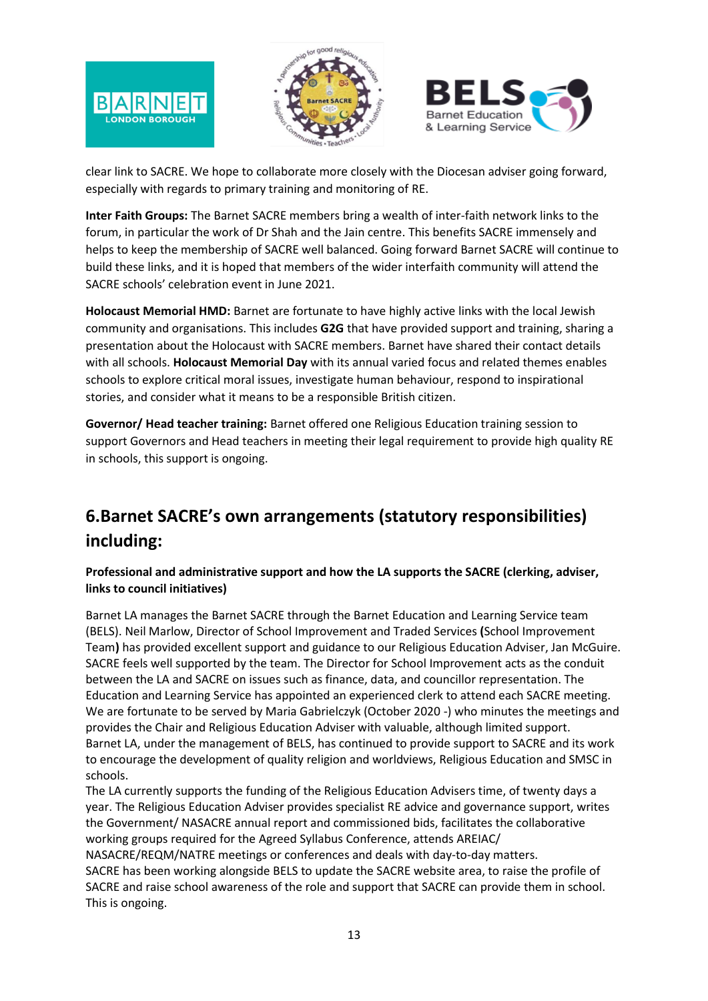





clear link to SACRE. We hope to collaborate more closely with the Diocesan adviser going forward, especially with regards to primary training and monitoring of RE.

**Inter Faith Groups:** The Barnet SACRE members bring a wealth of inter-faith network links to the forum, in particular the work of Dr Shah and the Jain centre. This benefits SACRE immensely and helps to keep the membership of SACRE well balanced. Going forward Barnet SACRE will continue to build these links, and it is hoped that members of the wider interfaith community will attend the SACRE schools' celebration event in June 2021.

**Holocaust Memorial HMD:** Barnet are fortunate to have highly active links with the local Jewish community and organisations. This includes **G2G** that have provided support and training, sharing a presentation about the Holocaust with SACRE members. Barnet have shared their contact details with all schools. **Holocaust Memorial Day** with its annual varied focus and related themes enables schools to explore critical moral issues, investigate human behaviour, respond to inspirational stories, and consider what it means to be a responsible British citizen.

**Governor/ Head teacher training:** Barnet offered one Religious Education training session to support Governors and Head teachers in meeting their legal requirement to provide high quality RE in schools, this support is ongoing.

# **6.Barnet SACRE's own arrangements (statutory responsibilities) including:**

## **Professional and administrative support and how the LA supports the SACRE (clerking, adviser, links to council initiatives)**

Barnet LA manages the Barnet SACRE through the Barnet Education and Learning Service team (BELS). Neil Marlow, Director of School Improvement and Traded Services **(**School Improvement Team**)** has provided excellent support and guidance to our Religious Education Adviser, Jan McGuire. SACRE feels well supported by the team. The Director for School Improvement acts as the conduit between the LA and SACRE on issues such as finance, data, and councillor representation. The Education and Learning Service has appointed an experienced clerk to attend each SACRE meeting. We are fortunate to be served by Maria Gabrielczyk (October 2020 -) who minutes the meetings and provides the Chair and Religious Education Adviser with valuable, although limited support. Barnet LA, under the management of BELS, has continued to provide support to SACRE and its work to encourage the development of quality religion and worldviews, Religious Education and SMSC in schools.

The LA currently supports the funding of the Religious Education Advisers time, of twenty days a year. The Religious Education Adviser provides specialist RE advice and governance support, writes the Government/ NASACRE annual report and commissioned bids, facilitates the collaborative working groups required for the Agreed Syllabus Conference, attends AREIAC/

NASACRE/REQM/NATRE meetings or conferences and deals with day-to-day matters. SACRE has been working alongside BELS to update the SACRE website area, to raise the profile of SACRE and raise school awareness of the role and support that SACRE can provide them in school. This is ongoing.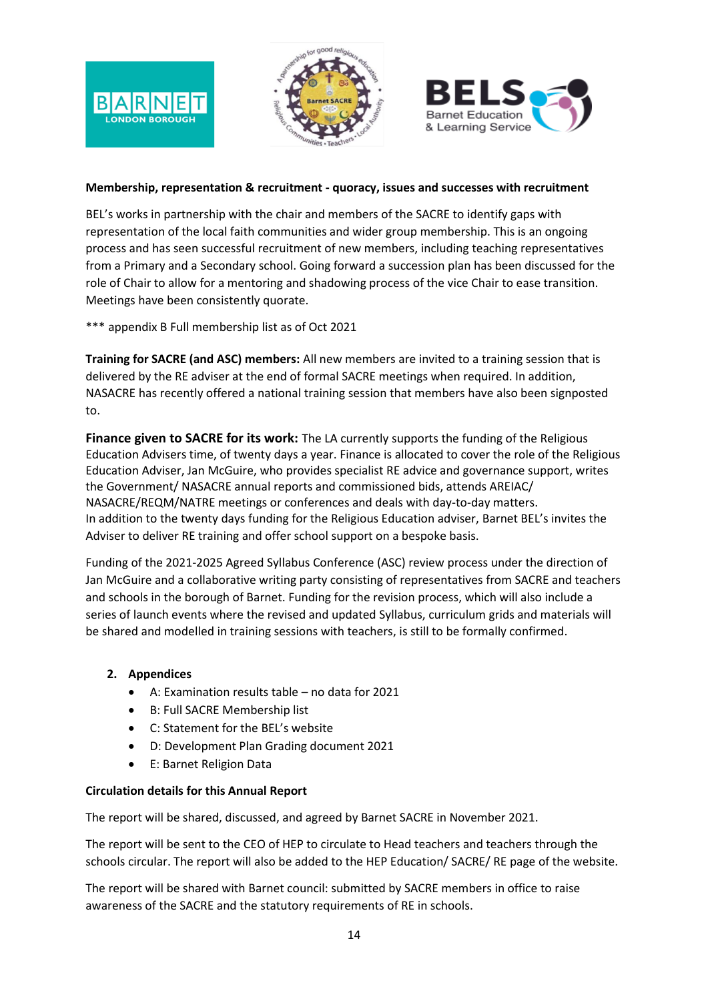



#### **Membership, representation & recruitment - quoracy, issues and successes with recruitment**

BEL's works in partnership with the chair and members of the SACRE to identify gaps with representation of the local faith communities and wider group membership. This is an ongoing process and has seen successful recruitment of new members, including teaching representatives from a Primary and a Secondary school. Going forward a succession plan has been discussed for the role of Chair to allow for a mentoring and shadowing process of the vice Chair to ease transition. Meetings have been consistently quorate.

\*\*\* appendix B Full membership list as of Oct 2021

I

**Training for SACRE (and ASC) members:** All new members are invited to a training session that is delivered by the RE adviser at the end of formal SACRE meetings when required. In addition, NASACRE has recently offered a national training session that members have also been signposted to.

**Finance given to SACRE for its work:** The LA currently supports the funding of the Religious Education Advisers time, of twenty days a year. Finance is allocated to cover the role of the Religious Education Adviser, Jan McGuire, who provides specialist RE advice and governance support, writes the Government/ NASACRE annual reports and commissioned bids, attends AREIAC/ NASACRE/REQM/NATRE meetings or conferences and deals with day-to-day matters. In addition to the twenty days funding for the Religious Education adviser, Barnet BEL's invites the Adviser to deliver RE training and offer school support on a bespoke basis.

Funding of the 2021-2025 Agreed Syllabus Conference (ASC) review process under the direction of Jan McGuire and a collaborative writing party consisting of representatives from SACRE and teachers and schools in the borough of Barnet. Funding for the revision process, which will also include a series of launch events where the revised and updated Syllabus, curriculum grids and materials will be shared and modelled in training sessions with teachers, is still to be formally confirmed.

## **2. Appendices**

- A: Examination results table no data for 2021
- B: Full SACRE Membership list
- C: Statement for the BEL's website
- D: Development Plan Grading document 2021
- E: Barnet Religion Data

#### **Circulation details for this Annual Report**

The report will be shared, discussed, and agreed by Barnet SACRE in November 2021.

The report will be sent to the CEO of HEP to circulate to Head teachers and teachers through the schools circular. The report will also be added to the HEP Education/ SACRE/ RE page of the website.

The report will be shared with Barnet council: submitted by SACRE members in office to raise awareness of the SACRE and the statutory requirements of RE in schools.